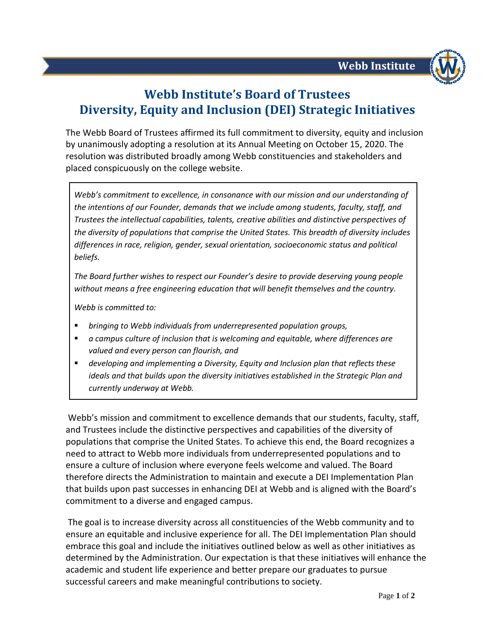

## **Webb Institute's Board of Trustees Diversity, Equity and Inclusion (DEI) Strategic Initiatives**

The Webb Board of Trustees affirmed its full commitment to diversity, equity and inclusion by unanimously adopting a resolution at its Annual Meeting on October 15, 2020. The resolution was distributed broadly among Webb constituencies and stakeholders and placed conspicuously on the college website.

*Webb's commitment to excellence, in consonance with our mission and our understanding of the intentions of our Founder, demands that we include among students, faculty, staff, and Trustees the intellectual capabilities, talents, creative abilities and distinctive perspectives of the diversity of populations that comprise the United States. This breadth of diversity includes differences in race, religion, gender, sexual orientation, socioeconomic status and political beliefs.*

*The Board further wishes to respect our Founder's desire to provide deserving young people without means a free engineering education that will benefit themselves and the country.*

*Webb is committed to:*

- *bringing to Webb individuals from underrepresented population groups,*
- *a campus culture of inclusion that is welcoming and equitable, where differences are valued and every person can flourish, and*
- *developing and implementing a Diversity, Equity and Inclusion plan that reflects these ideals and that builds upon the diversity initiatives established in the Strategic Plan and currently underway at Webb.*

Webb's mission and commitment to excellence demands that our students, faculty, staff, and Trustees include the distinctive perspectives and capabilities of the diversity of populations that comprise the United States. To achieve this end, the Board recognizes a need to attract to Webb more individuals from underrepresented populations and to ensure a culture of inclusion where everyone feels welcome and valued. The Board therefore directs the Administration to maintain and execute a DEI Implementation Plan that builds upon past successes in enhancing DEI at Webb and is aligned with the Board's commitment to a diverse and engaged campus.

The goal is to increase diversity across all constituencies of the Webb community and to ensure an equitable and inclusive experience for all. The DEI Implementation Plan should embrace this goal and include the initiatives outlined below as well as other initiatives as determined by the Administration. Our expectation is that these initiatives will enhance the academic and student life experience and better prepare our graduates to pursue successful careers and make meaningful contributions to society.